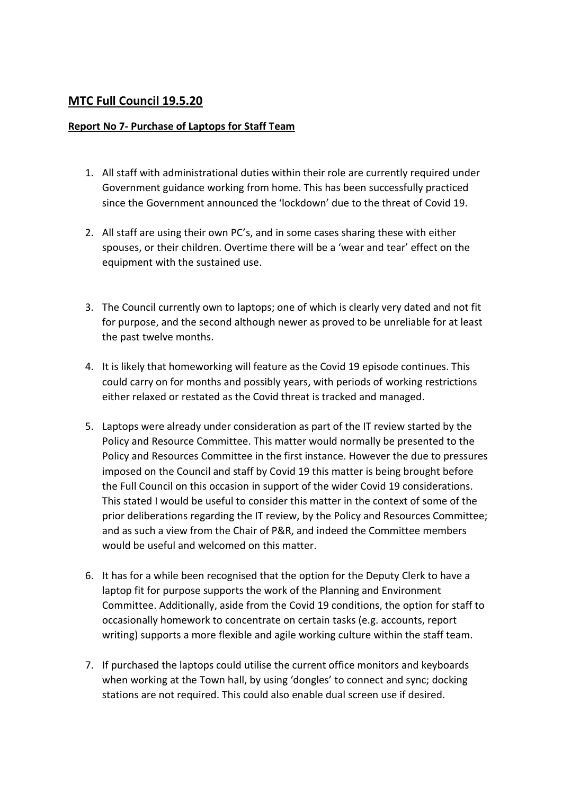## **MTC Full Council 19.5.20**

## **Report No 7- Purchase of Laptops for Staff Team**

- 1. All staff with administrational duties within their role are currently required under Government guidance working from home. This has been successfully practiced since the Government announced the 'lockdown' due to the threat of Covid 19.
- 2. All staff are using their own PC's, and in some cases sharing these with either spouses, or their children. Overtime there will be a 'wear and tear' effect on the equipment with the sustained use.
- 3. The Council currently own to laptops; one of which is clearly very dated and not fit for purpose, and the second although newer as proved to be unreliable for at least the past twelve months.
- 4. It is likely that homeworking will feature as the Covid 19 episode continues. This could carry on for months and possibly years, with periods of working restrictions either relaxed or restated as the Covid threat is tracked and managed.
- 5. Laptops were already under consideration as part of the IT review started by the Policy and Resource Committee. This matter would normally be presented to the Policy and Resources Committee in the first instance. However the due to pressures imposed on the Council and staff by Covid 19 this matter is being brought before the Full Council on this occasion in support of the wider Covid 19 considerations. This stated I would be useful to consider this matter in the context of some of the prior deliberations regarding the IT review, by the Policy and Resources Committee; and as such a view from the Chair of P&R, and indeed the Committee members would be useful and welcomed on this matter.
- 6. It has for a while been recognised that the option for the Deputy Clerk to have a laptop fit for purpose supports the work of the Planning and Environment Committee. Additionally, aside from the Covid 19 conditions, the option for staff to occasionally homework to concentrate on certain tasks (e.g. accounts, report writing) supports a more flexible and agile working culture within the staff team.
- 7. If purchased the laptops could utilise the current office monitors and keyboards when working at the Town hall, by using 'dongles' to connect and sync; docking stations are not required. This could also enable dual screen use if desired.